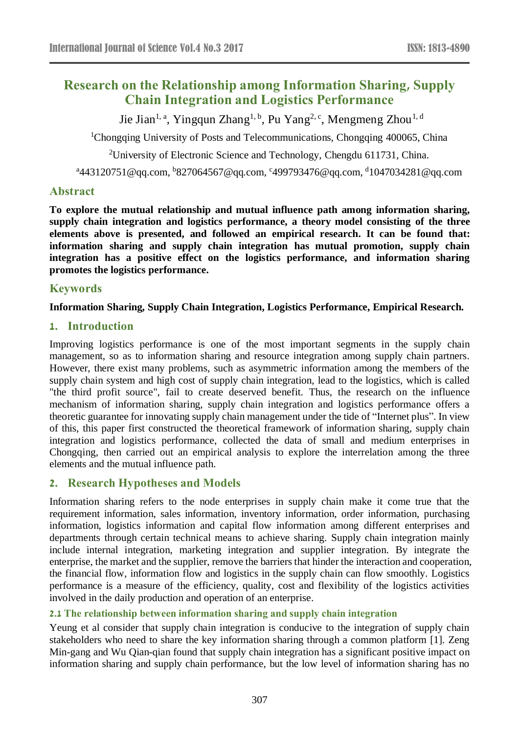# **Research on the Relationship among Information Sharing, Supply Chain Integration and Logistics Performance**

Jie Jian<sup>1, a</sup>, Yingqun Zhang<sup>1, b</sup>, Pu Yang<sup>2, c</sup>, Mengmeng Zhou<sup>1, d</sup>

<sup>1</sup>Chongqing University of Posts and Telecommunications, Chongqing 400065, China

<sup>2</sup>University of Electronic Science and Technology, Chengdu 611731, China.

<sup>a</sup>443120751@qq.com, <sup>b</sup>[827064567@qq.com,](mailto:b827064567@qq.com) <sup>c</sup>[499793476@qq.com,](mailto:c499793476@qq.com) <sup>d</sup>1047034281@qq.com

# **Abstract**

**To explore the mutual relationship and mutual influence path among information sharing, supply chain integration and logistics performance, a theory model consisting of the three elements above is presented, and followed an empirical research. It can be found that: information sharing and supply chain integration has mutual promotion, supply chain integration has a positive effect on the logistics performance, and information sharing promotes the logistics performance.**

# **Keywords**

# **Information Sharing, Supply Chain Integration, Logistics Performance, Empirical Research.**

# **1. Introduction**

Improving logistics performance is one of the most important segments in the supply chain management, so as to information sharing and resource integration among supply chain partners. However, there exist many problems, such as asymmetric information among the members of the supply chain system and high cost of supply chain integration, lead to the logistics, which is called "the third profit source", fail to create deserved benefit. Thus, the research on the influence mechanism of information sharing, supply chain integration and logistics performance offers a theoretic guarantee for innovating supply chain management under the tide of "Internet plus". In view of this, this paper first constructed the theoretical framework of information sharing, supply chain integration and logistics performance, collected the data of small and medium enterprises in Chongqing, then carried out an empirical analysis to explore the interrelation among the three elements and the mutual influence path.

# **2. Research Hypotheses and Models**

Information sharing refers to the node enterprises in supply chain make it come true that the requirement information, sales information, inventory information, order information, purchasing information, logistics information and capital flow information among different enterprises and departments through certain technical means to achieve sharing. Supply chain integration mainly include internal integration, marketing integration and supplier integration. By integrate the enterprise, the market and the supplier, remove the barriers that hinder the interaction and cooperation, the financial flow, information flow and logistics in the supply chain can flow smoothly. Logistics performance is a measure of the efficiency, quality, cost and flexibility of the logistics activities involved in the daily production and operation of an enterprise.

# **2.1 The relationship between information sharing and supply chain integration**

Yeung et al consider that supply chain integration is conducive to the integration of supply chain stakeholders who need to share the key information sharing through a common platform [1]. Zeng Min-gang and Wu Qian-qian found that supply chain integration has a significant positive impact on information sharing and supply chain performance, but the low level of information sharing has no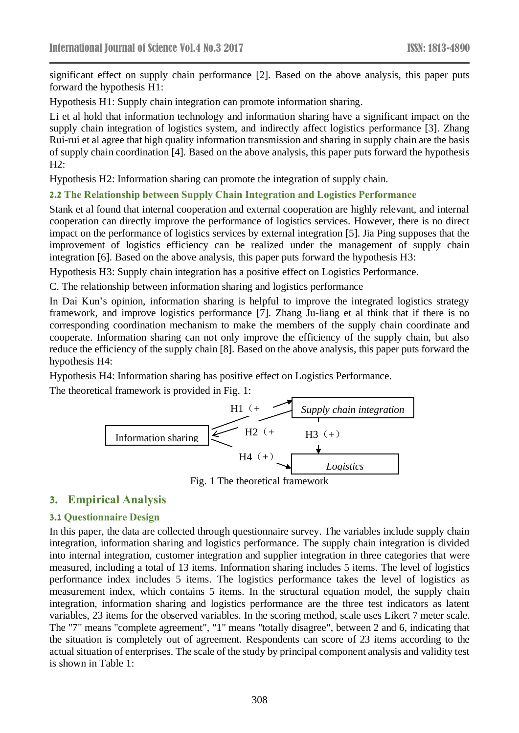significant effect on supply chain performance [2]. Based on the above analysis, this paper puts forward the hypothesis H1:

Hypothesis H1: Supply chain integration can promote information sharing.

Li et al hold that information technology and information sharing have a significant impact on the supply chain integration of logistics system, and indirectly affect logistics performance [3]. Zhang Rui-rui et al agree that high quality information transmission and sharing in supply chain are the basis of supply chain coordination [4]. Based on the above analysis, this paper puts forward the hypothesis H2:

Hypothesis H2: Information sharing can promote the integration of supply chain.

#### **2.2 The Relationship between Supply Chain Integration and Logistics Performance**

Stank et al found that internal cooperation and external cooperation are highly relevant, and internal cooperation can directly improve the performance of logistics services. However, there is no direct impact on the performance of logistics services by external integration [5]. Jia Ping supposes that the improvement of logistics efficiency can be realized under the management of supply chain integration [6]. Based on the above analysis, this paper puts forward the hypothesis H3:

Hypothesis H3: Supply chain integration has a positive effect on Logistics Performance.

C. The relationship between information sharing and logistics performance

In Dai Kun's opinion, information sharing is helpful to improve the integrated logistics strategy framework, and improve logistics performance [7]. Zhang Ju-liang et al think that if there is no corresponding coordination mechanism to make the members of the supply chain coordinate and cooperate. Information sharing can not only improve the efficiency of the supply chain, but also reduce the efficiency of the supply chain [8]. Based on the above analysis, this paper puts forward the hypothesis H4:

Hypothesis H4: Information sharing has positive effect on Logistics Performance.

The theoretical framework is provided in Fig. 1:



Fig. 1 The theoretical framework

## **3. Empirical Analysis**

#### **3.1 Questionnaire Design**

In this paper, the data are collected through questionnaire survey. The variables include supply chain integration, information sharing and logistics performance. The supply chain integration is divided into internal integration, customer integration and supplier integration in three categories that were measured, including a total of 13 items. Information sharing includes 5 items. The level of logistics performance index includes 5 items. The logistics performance takes the level of logistics as measurement index, which contains 5 items. In the structural equation model, the supply chain integration, information sharing and logistics performance are the three test indicators as latent variables, 23 items for the observed variables. In the scoring method, scale uses Likert 7 meter scale. The "7" means "complete agreement", "1" means "totally disagree", between 2 and 6, indicating that the situation is completely out of agreement. Respondents can score of 23 items according to the actual situation of enterprises. The scale of the study by principal component analysis and validity test is shown in Table 1: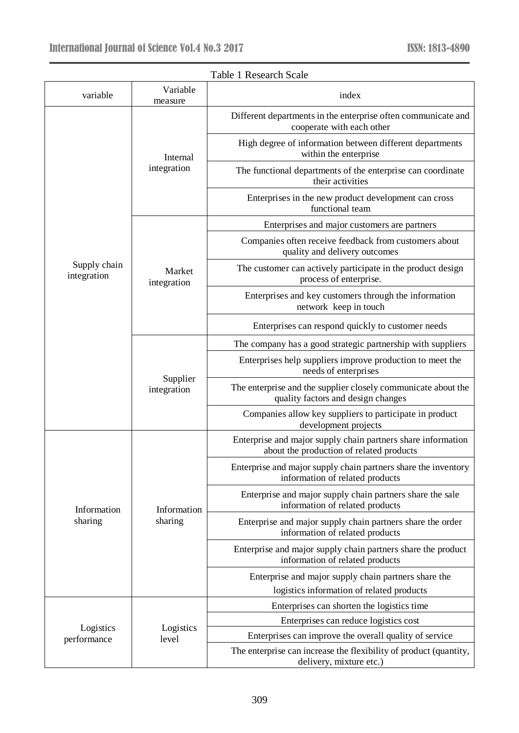| variable                    | Variable                | Fabie I Incocarell Beare<br>index                                                                        |  |  |  |
|-----------------------------|-------------------------|----------------------------------------------------------------------------------------------------------|--|--|--|
|                             | measure                 | Different departments in the enterprise often communicate and<br>cooperate with each other               |  |  |  |
|                             | Internal<br>integration | High degree of information between different departments<br>within the enterprise                        |  |  |  |
|                             |                         | The functional departments of the enterprise can coordinate<br>their activities                          |  |  |  |
|                             |                         | Enterprises in the new product development can cross<br>functional team                                  |  |  |  |
|                             |                         | Enterprises and major customers are partners                                                             |  |  |  |
|                             |                         | Companies often receive feedback from customers about<br>quality and delivery outcomes                   |  |  |  |
| Supply chain<br>integration | Market<br>integration   | The customer can actively participate in the product design<br>process of enterprise.                    |  |  |  |
|                             |                         | Enterprises and key customers through the information<br>network keep in touch                           |  |  |  |
|                             |                         | Enterprises can respond quickly to customer needs                                                        |  |  |  |
|                             | Supplier<br>integration | The company has a good strategic partnership with suppliers                                              |  |  |  |
|                             |                         | Enterprises help suppliers improve production to meet the<br>needs of enterprises                        |  |  |  |
|                             |                         | The enterprise and the supplier closely communicate about the<br>quality factors and design changes      |  |  |  |
|                             |                         | Companies allow key suppliers to participate in product<br>development projects                          |  |  |  |
|                             | Information             | Enterprise and major supply chain partners share information<br>about the production of related products |  |  |  |
|                             |                         | Enterprise and major supply chain partners share the inventory<br>information of related products        |  |  |  |
| Information                 |                         | Enterprise and major supply chain partners share the sale<br>information of related products             |  |  |  |
| sharing                     | sharing                 | Enterprise and major supply chain partners share the order<br>information of related products            |  |  |  |
|                             |                         | Enterprise and major supply chain partners share the product<br>information of related products          |  |  |  |
|                             | Logistics<br>level      | Enterprise and major supply chain partners share the                                                     |  |  |  |
|                             |                         | logistics information of related products                                                                |  |  |  |
|                             |                         | Enterprises can shorten the logistics time                                                               |  |  |  |
| Logistics                   |                         | Enterprises can reduce logistics cost                                                                    |  |  |  |
| performance                 |                         | Enterprises can improve the overall quality of service                                                   |  |  |  |
|                             |                         | The enterprise can increase the flexibility of product (quantity,<br>delivery, mixture etc.)             |  |  |  |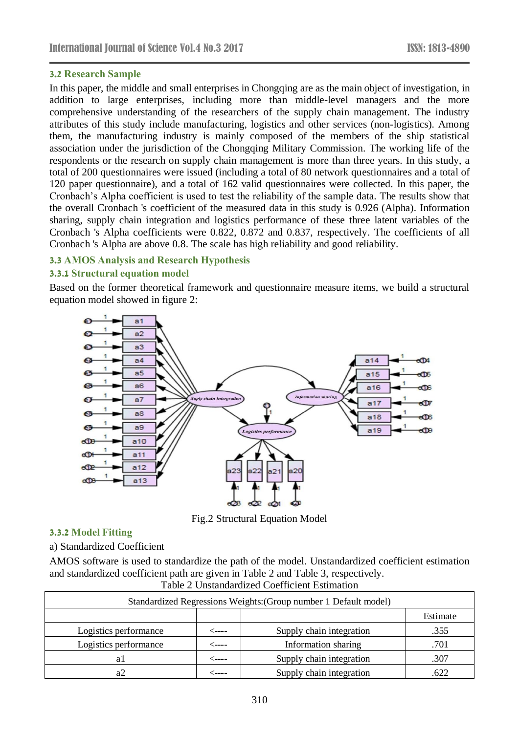#### **3.2 Research Sample**

In this paper, the middle and small enterprises in Chongqing are as the main object of investigation, in addition to large enterprises, including more than middle-level managers and the more comprehensive understanding of the researchers of the supply chain management. The industry attributes of this study include manufacturing, logistics and other services (non-logistics). Among them, the manufacturing industry is mainly composed of the members of the ship statistical association under the jurisdiction of the Chongqing Military Commission. The working life of the respondents or the research on supply chain management is more than three years. In this study, a total of 200 questionnaires were issued (including a total of 80 network questionnaires and a total of 120 paper questionnaire), and a total of 162 valid questionnaires were collected. In this paper, the Cronbach's Alpha coefficient is used to test the reliability of the sample data. The results show that the overall Cronbach 's coefficient of the measured data in this study is 0.926 (Alpha). Information sharing, supply chain integration and logistics performance of these three latent variables of the Cronbach 's Alpha coefficients were 0.822, 0.872 and 0.837, respectively. The coefficients of all Cronbach 's Alpha are above 0.8. The scale has high reliability and good reliability.

#### **3.3 AMOS Analysis and Research Hypothesis**

#### **3.3.1 Structural equation model**

Based on the former theoretical framework and questionnaire measure items, we build a structural equation model showed in figure 2:



Fig.2 Structural Equation Model

#### **3.3.2 Model Fitting**

a) Standardized Coefficient

AMOS software is used to standardize the path of the model. Unstandardized coefficient estimation and standardized coefficient path are given in Table 2 and Table 3, respectively. Table 2 Unstandardized Coefficient Estimation

| Standardized Regressions Weights: (Group number 1 Default model) |       |                          |          |  |
|------------------------------------------------------------------|-------|--------------------------|----------|--|
|                                                                  |       |                          | Estimate |  |
| Logistics performance                                            | <---- | Supply chain integration | .355     |  |
| Logistics performance                                            | ⊂---- | Information sharing      | .701     |  |
| aι                                                               | ----- | Supply chain integration | .307     |  |
|                                                                  |       | Supply chain integration | 622      |  |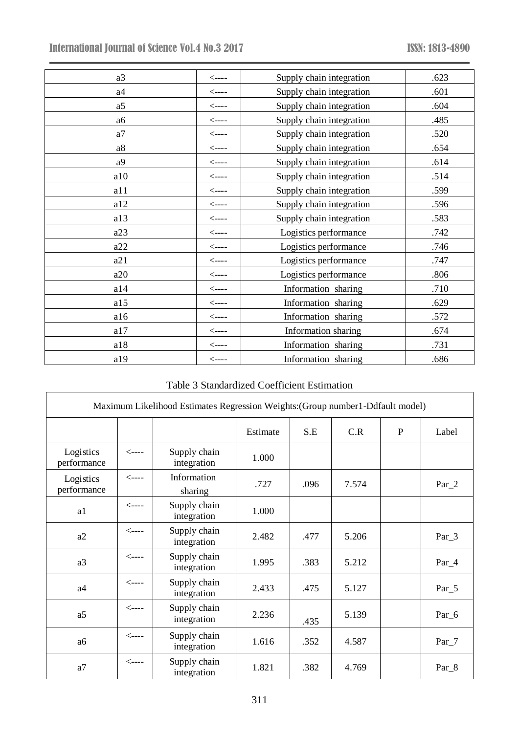| a <sub>3</sub> | $\leftarrow$ ----                            | Supply chain integration | .623 |
|----------------|----------------------------------------------|--------------------------|------|
| a4             | $\leftarrow$ ----                            | Supply chain integration | .601 |
| a <sub>5</sub> | $\leftarrow$ ----                            | Supply chain integration | .604 |
| a6             | $\operatorname{\!<\!}-\!\operatorname{\!-}-$ | Supply chain integration | .485 |
| a7             | $\operatorname{\!<\!}-\!\operatorname{\!-}-$ | Supply chain integration | .520 |
| a8             | $\leftarrow$ ----                            | Supply chain integration | .654 |
| a9             | $\leftarrow$ ----                            | Supply chain integration | .614 |
| a10            | $\leftarrow$ ----                            | Supply chain integration | .514 |
| a11            | $\leftarrow$ ----                            | Supply chain integration | .599 |
| a12            | $\leftarrow$ ----                            | Supply chain integration | .596 |
| a13            | $\leftarrow$ ----                            | Supply chain integration | .583 |
| a23            | $\leftarrow$ ----                            | Logistics performance    | .742 |
| a22            | $\operatorname{\!<\!}-\!\operatorname{\!-}-$ | Logistics performance    | .746 |
| a21            | $\leftarrow$ ----                            | Logistics performance    | .747 |
| a20            | $\leftarrow$ ----                            | Logistics performance    | .806 |
| a14            | $\leftarrow$ ----                            | Information sharing      | .710 |
| a15            | $\leftarrow$ ----                            | Information sharing      | .629 |
| a16            | $\leftarrow$ ----                            | Information sharing      | .572 |
| a17            | $\leftarrow$ ----                            | Information sharing      | .674 |
| a18            | $\leftarrow$ ----                            | Information sharing      | .731 |
| a19            | $\leftarrow$ ----                            | Information sharing      | .686 |

# Table 3 Standardized Coefficient Estimation

| Maximum Likelihood Estimates Regression Weights: (Group number1-Ddfault model) |                   |                             |          |      |       |              |                  |
|--------------------------------------------------------------------------------|-------------------|-----------------------------|----------|------|-------|--------------|------------------|
|                                                                                |                   |                             | Estimate | S.E  | C.R   | $\mathbf{P}$ | Label            |
| Logistics<br>performance                                                       | $\leftarrow$ ---- | Supply chain<br>integration | 1.000    |      |       |              |                  |
| Logistics<br>performance                                                       | $\leftarrow$ ---- | Information<br>sharing      | .727     | .096 | 7.574 |              | $Par_2$          |
| a1                                                                             | $\leftarrow$ ---- | Supply chain<br>integration | 1.000    |      |       |              |                  |
| a2                                                                             | $\leftarrow$ ---- | Supply chain<br>integration | 2.482    | .477 | 5.206 |              | $Par_3$          |
| a3                                                                             | $\leftarrow$ ---- | Supply chain<br>integration | 1.995    | .383 | 5.212 |              | $Par_4$          |
| a <sub>4</sub>                                                                 | $\leftarrow$ ---- | Supply chain<br>integration | 2.433    | .475 | 5.127 |              | $Par_5$          |
| a5                                                                             | $\leftarrow$ ---- | Supply chain<br>integration | 2.236    | .435 | 5.139 |              | Par <sub>6</sub> |
| a6                                                                             | $\leftarrow$ ---- | Supply chain<br>integration | 1.616    | .352 | 4.587 |              | $Par_7$          |
| a7                                                                             | $\leftarrow$ ---- | Supply chain<br>integration | 1.821    | .382 | 4.769 |              | Par_8            |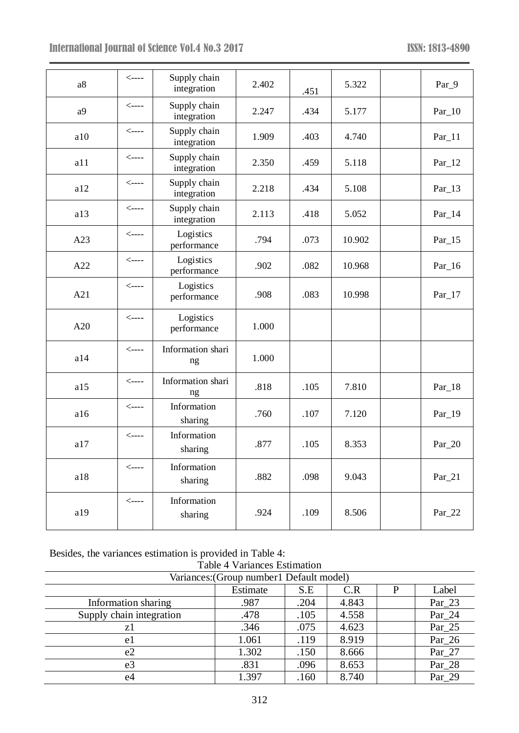| a8             | $\leftarrow$ ---- | Supply chain<br>integration | 2.402 | .451 | 5.322  | Par_9      |
|----------------|-------------------|-----------------------------|-------|------|--------|------------|
| a <sup>9</sup> | $\leftarrow$ ---- | Supply chain<br>integration | 2.247 | .434 | 5.177  | $Par_10$   |
| a10            | $\leftarrow$ ---- | Supply chain<br>integration | 1.909 | .403 | 4.740  | $Par_11$   |
| a11            | $\leftarrow$ ---- | Supply chain<br>integration | 2.350 | .459 | 5.118  | $Par_12$   |
| a12            | $\leftarrow$ ---- | Supply chain<br>integration | 2.218 | .434 | 5.108  | $Par_13$   |
| a13            | $\leftarrow$ ---- | Supply chain<br>integration | 2.113 | .418 | 5.052  | $Par_14$   |
| A23            | $\leftarrow$ ---- | Logistics<br>performance    | .794  | .073 | 10.902 | $Par_{15}$ |
| A22            | $\leftarrow$ ---- | Logistics<br>performance    | .902  | .082 | 10.968 | $Par_16$   |
| A21            | $\leftarrow$ ---- | Logistics<br>performance    | .908  | .083 | 10.998 | $Par_17$   |
| A20            | $\leftarrow$ ---- | Logistics<br>performance    | 1.000 |      |        |            |
| a14            | $\leftarrow$ ---- | Information shari<br>ng     | 1.000 |      |        |            |
| a15            | $\leftarrow$ ---- | Information shari<br>ng     | .818  | .105 | 7.810  | $Par_18$   |
| a16            | $\leftarrow$ ---- | Information<br>sharing      | .760  | .107 | 7.120  | $Par_{19}$ |
| a17            | $\leftarrow$ ---- | Information<br>sharing      | .877  | .105 | 8.353  | $Par_2$ 20 |
| a18            | $\leftarrow$ ---- | Information<br>sharing      | .882  | .098 | 9.043  | $Par_21$   |
| a19            | $\leftarrow$ ---- | Information<br>sharing      | .924  | .109 | 8.506  | $Par_222$  |

Besides, the variances estimation is provided in Table 4:

| <b>Table 4 Variances Estimation</b>      |          |      |       |   |            |
|------------------------------------------|----------|------|-------|---|------------|
| Variances: (Group number1 Default model) |          |      |       |   |            |
|                                          | Estimate | S.E  | C.R   | D | Label      |
| Information sharing                      | .987     | .204 | 4.843 |   | $Par_23$   |
| Supply chain integration                 | .478     | .105 | 4.558 |   | $Par_24$   |
| z1                                       | .346     | .075 | 4.623 |   | $Par_25$   |
| e1                                       | 1.061    | .119 | 8.919 |   | $Par_26$   |
| e2                                       | 1.302    | .150 | 8.666 |   | $Par_2 27$ |
| e <sub>3</sub>                           | .831     | .096 | 8.653 |   | $Par_28$   |
| e4                                       | 1.397    | .160 | 8.740 |   | Par 29     |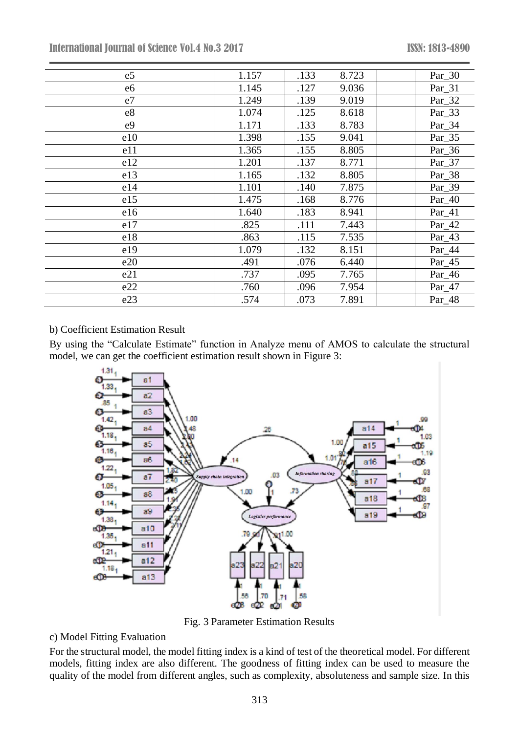International Journal of Science Vol.4 No.3 2017 ISSN: 1813-4890

| e <sub>5</sub> | 1.157 | .133 | 8.723 | Par_30   |
|----------------|-------|------|-------|----------|
| e <sub>6</sub> | 1.145 | .127 | 9.036 | Par_31   |
| e7             | 1.249 | .139 | 9.019 | Par_32   |
| e8             | 1.074 | .125 | 8.618 | Par_33   |
| e <sub>9</sub> | 1.171 | .133 | 8.783 | Par_34   |
| e10            | 1.398 | .155 | 9.041 | Par_35   |
| e11            | 1.365 | .155 | 8.805 | Par_36   |
| e12            | 1.201 | .137 | 8.771 | Par_37   |
| e13            | 1.165 | .132 | 8.805 | Par_38   |
| e14            | 1.101 | .140 | 7.875 | Par_39   |
| e15            | 1.475 | .168 | 8.776 | $Par_40$ |
| e16            | 1.640 | .183 | 8.941 | Par_41   |
| e17            | .825  | .111 | 7.443 | Par_42   |
| e18            | .863  | .115 | 7.535 | Par_43   |
| e19            | 1.079 | .132 | 8.151 | Par_44   |
| e20            | .491  | .076 | 6.440 | Par_45   |
| e21            | .737  | .095 | 7.765 | Par_46   |
| e22            | .760  | .096 | 7.954 | Par_47   |
| e23            | .574  | .073 | 7.891 | Par_48   |

# b) Coefficient Estimation Result

By using the "Calculate Estimate" function in Analyze menu of AMOS to calculate the structural model, we can get the coefficient estimation result shown in Figure 3:



Fig. 3 Parameter Estimation Results

# c) Model Fitting Evaluation

For the structural model, the model fitting index is a kind of test of the theoretical model. For different models, fitting index are also different. The goodness of fitting index can be used to measure the quality of the model from different angles, such as complexity, absoluteness and sample size. In this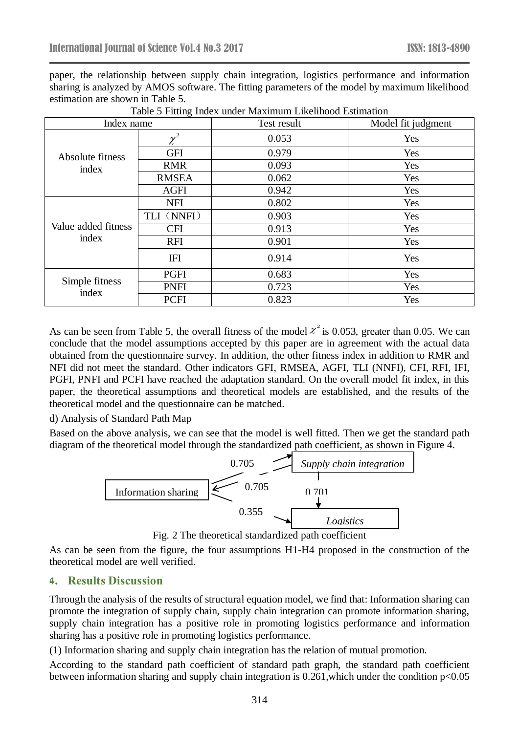paper, the relationship between supply chain integration, logistics performance and information sharing is analyzed by AMOS software. The fitting parameters of the model by maximum likelihood estimation are shown in Table 5.

| Index name                   |              | Test result | Model fit judgment |
|------------------------------|--------------|-------------|--------------------|
| Absolute fitness<br>index    | $\chi^2$     | 0.053       | Yes                |
|                              | <b>GFI</b>   | 0.979       | Yes                |
|                              | <b>RMR</b>   | 0.093       | Yes                |
|                              | <b>RMSEA</b> | 0.062       | Yes                |
|                              | <b>AGFI</b>  | 0.942       | Yes                |
| Value added fitness<br>index | <b>NFI</b>   | 0.802       | Yes                |
|                              | TLI (NNFI)   | 0.903       | Yes                |
|                              | <b>CFI</b>   | 0.913       | Yes                |
|                              | <b>RFI</b>   | 0.901       | Yes                |
|                              | <b>IFI</b>   | 0.914       | Yes                |
| Simple fitness<br>index      | <b>PGFI</b>  | 0.683       | Yes                |
|                              | <b>PNFI</b>  | 0.723       | Yes                |
|                              | <b>PCFI</b>  | 0.823       | Yes                |

Table 5 Fitting Index under Maximum Likelihood Estimation

As can be seen from Table 5, the overall fitness of the model  $\chi^2$  is 0.053, greater than 0.05. We can conclude that the model assumptions accepted by this paper are in agreement with the actual data obtained from the questionnaire survey. In addition, the other fitness index in addition to RMR and NFI did not meet the standard. Other indicators GFI, RMSEA, AGFI, TLI (NNFI), CFI, RFI, IFI, PGFI, PNFI and PCFI have reached the adaptation standard. On the overall model fit index, in this paper, the theoretical assumptions and theoretical models are established, and the results of the theoretical model and the questionnaire can be matched.

d) Analysis of Standard Path Map

Based on the above analysis, we can see that the model is well fitted. Then we get the standard path diagram of the theoretical model through the standardized path coefficient, as shown in Figure 4.



Fig. 2 The theoretical standardized path coefficient

As can be seen from the figure, the four assumptions H1-H4 proposed in the construction of the theoretical model are well verified.

# **4. Results Discussion**

Through the analysis of the results of structural equation model, we find that: Information sharing can promote the integration of supply chain, supply chain integration can promote information sharing, supply chain integration has a positive role in promoting logistics performance and information sharing has a positive role in promoting logistics performance.

(1) Information sharing and supply chain integration has the relation of mutual promotion.

According to the standard path coefficient of standard path graph, the standard path coefficient between information sharing and supply chain integration is 0.261,which under the condition p<0.05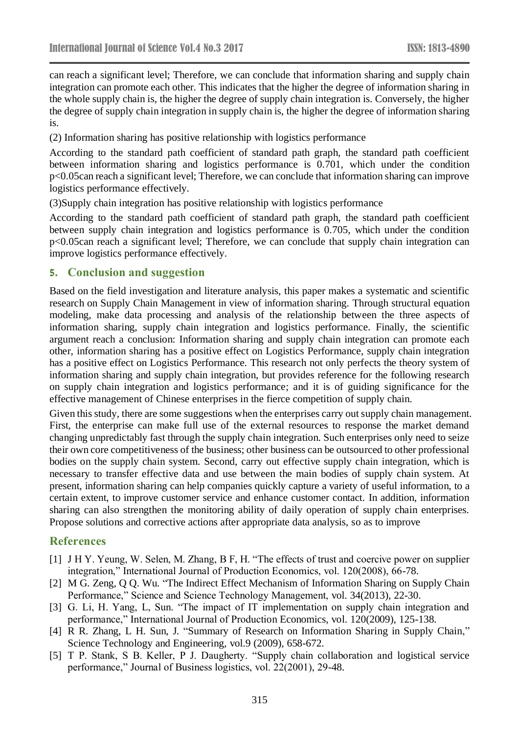can reach a significant level; Therefore, we can conclude that information sharing and supply chain integration can promote each other. This indicates that the higher the degree of information sharing in the whole supply chain is, the higher the degree of supply chain integration is. Conversely, the higher the degree of supply chain integration in supply chain is, the higher the degree of information sharing is.

(2) Information sharing has positive relationship with logistics performance

According to the standard path coefficient of standard path graph, the standard path coefficient between information sharing and logistics performance is 0.701, which under the condition p<0.05can reach a significant level; Therefore, we can conclude that information sharing can improve logistics performance effectively.

(3)Supply chain integration has positive relationship with logistics performance

According to the standard path coefficient of standard path graph, the standard path coefficient between supply chain integration and logistics performance is 0.705, which under the condition p<0.05can reach a significant level; Therefore, we can conclude that supply chain integration can improve logistics performance effectively.

# **5. Conclusion and suggestion**

Based on the field investigation and literature analysis, this paper makes a systematic and scientific research on Supply Chain Management in view of information sharing. Through structural equation modeling, make data processing and analysis of the relationship between the three aspects of information sharing, supply chain integration and logistics performance. Finally, the scientific argument reach a conclusion: Information sharing and supply chain integration can promote each other, information sharing has a positive effect on Logistics Performance, supply chain integration has a positive effect on Logistics Performance. This research not only perfects the theory system of information sharing and supply chain integration, but provides reference for the following research on supply chain integration and logistics performance; and it is of guiding significance for the effective management of Chinese enterprises in the fierce competition of supply chain.

Given this study, there are some suggestions when the enterprises carry out supply chain management. First, the enterprise can make full use of the external resources to response the market demand changing unpredictably fast through the supply chain integration. Such enterprises only need to seize their own core competitiveness of the business; other business can be outsourced to other professional bodies on the supply chain system. Second, carry out effective supply chain integration, which is necessary to transfer effective data and use between the main bodies of supply chain system. At present, information sharing can help companies quickly capture a variety of useful information, to a certain extent, to improve customer service and enhance customer contact. In addition, information sharing can also strengthen the monitoring ability of daily operation of supply chain enterprises. Propose solutions and corrective actions after appropriate data analysis, so as to improve

# **References**

- [1] J H Y. Yeung, W. Selen, M. Zhang, B F, H. "The effects of trust and coercive power on supplier integration," International Journal of Production Economics, vol. 120(2008), 66-78.
- [2] M G. Zeng, Q Q. Wu. "The Indirect Effect Mechanism of Information Sharing on Supply Chain Performance," Science and Science Technology Management, vol. 34(2013), 22-30.
- [3] G. Li, H. Yang, L, Sun. "The impact of IT implementation on supply chain integration and performance," International Journal of Production Economics, vol. 120(2009), 125-138.
- [4] R R. Zhang, L H. Sun, J. "Summary of Research on Information Sharing in Supply Chain," Science Technology and Engineering, vol.9 (2009), 658-672.
- [5] T P. Stank, S B. Keller, P J. Daugherty. "Supply chain collaboration and logistical service performance," Journal of Business logistics, vol. 22(2001), 29-48.